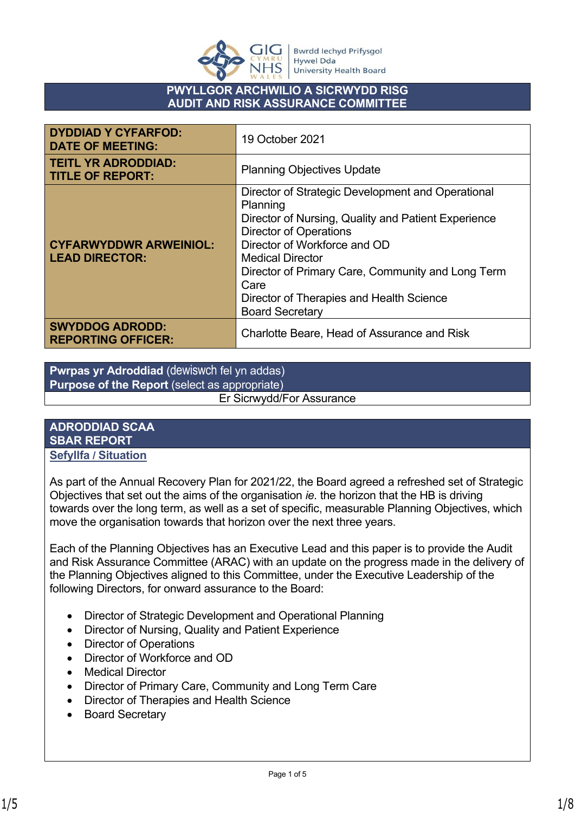

#### **PWYLLGOR ARCHWILIO A SICRWYDD RISG AUDIT AND RISK ASSURANCE COMMITTEE**

| <b>DYDDIAD Y CYFARFOD:</b><br><b>DATE OF MEETING:</b>  | 19 October 2021                                                                                                                                                                                                                                                                                                                              |
|--------------------------------------------------------|----------------------------------------------------------------------------------------------------------------------------------------------------------------------------------------------------------------------------------------------------------------------------------------------------------------------------------------------|
| <b>TEITL YR ADRODDIAD:</b><br><b>TITLE OF REPORT:</b>  | <b>Planning Objectives Update</b>                                                                                                                                                                                                                                                                                                            |
| <b>CYFARWYDDWR ARWEINIOL:</b><br><b>LEAD DIRECTOR:</b> | Director of Strategic Development and Operational<br>Planning<br>Director of Nursing, Quality and Patient Experience<br><b>Director of Operations</b><br>Director of Workforce and OD<br>Medical Director<br>Director of Primary Care, Community and Long Term<br>Care<br>Director of Therapies and Health Science<br><b>Board Secretary</b> |
| <b>SWYDDOG ADRODD:</b><br><b>REPORTING OFFICER:</b>    | Charlotte Beare, Head of Assurance and Risk                                                                                                                                                                                                                                                                                                  |

**Pwrpas yr Adroddiad** (dewiswch fel yn addas) **Purpose of the Report** (select as appropriate)

Er Sicrwydd/For Assurance

#### **ADRODDIAD SCAA SBAR REPORT Sefyllfa / Situation**

As part of the Annual Recovery Plan for 2021/22, the Board agreed a refreshed set of Strategic Objectives that set out the aims of the organisation *ie.* the horizon that the HB is driving towards over the long term, as well as a set of specific, measurable Planning Objectives, which move the organisation towards that horizon over the next three years.

Each of the Planning Objectives has an Executive Lead and this paper is to provide the Audit and Risk Assurance Committee (ARAC) with an update on the progress made in the delivery of the Planning Objectives aligned to this Committee, under the Executive Leadership of the following Directors, for onward assurance to the Board:

- Director of Strategic Development and Operational Planning
- Director of Nursing, Quality and Patient Experience
- Director of Operations
- Director of Workforce and OD
- Medical Director
- Director of Primary Care, Community and Long Term Care
- Director of Therapies and Health Science
- Board Secretary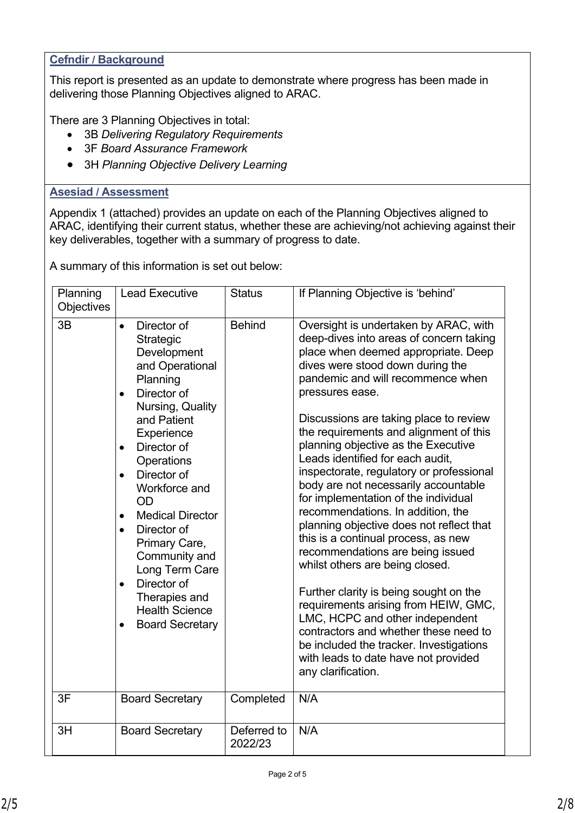## **Cefndir / Background**

This report is presented as an update to demonstrate where progress has been made in delivering those Planning Objectives aligned to ARAC.

There are 3 Planning Objectives in total:

- 3B *Delivering Regulatory Requirements*
- 3F *Board Assurance Framework*
- 3H *Planning Objective Delivery Learning*

### **Asesiad / Assessment**

Appendix 1 (attached) provides an update on each of the Planning Objectives aligned to ARAC, identifying their current status, whether these are achieving/not achieving against their key deliverables, together with a summary of progress to date.

A summary of this information is set out below:

| Planning<br>Objectives | <b>Lead Executive</b>                                                                                                                                                                                                                                                                                                                                                                                                                                                                 | <b>Status</b>          | If Planning Objective is 'behind'                                                                                                                                                                                                                                                                                                                                                                                                                                                                                                                                                                                                                                                                                                                                                                                                                                                                                                                                                    |  |  |  |
|------------------------|---------------------------------------------------------------------------------------------------------------------------------------------------------------------------------------------------------------------------------------------------------------------------------------------------------------------------------------------------------------------------------------------------------------------------------------------------------------------------------------|------------------------|--------------------------------------------------------------------------------------------------------------------------------------------------------------------------------------------------------------------------------------------------------------------------------------------------------------------------------------------------------------------------------------------------------------------------------------------------------------------------------------------------------------------------------------------------------------------------------------------------------------------------------------------------------------------------------------------------------------------------------------------------------------------------------------------------------------------------------------------------------------------------------------------------------------------------------------------------------------------------------------|--|--|--|
| 3B                     | Director of<br>$\bullet$<br>Strategic<br>Development<br>and Operational<br>Planning<br>Director of<br>$\bullet$<br>Nursing, Quality<br>and Patient<br>Experience<br>Director of<br>$\bullet$<br>Operations<br>Director of<br>$\bullet$<br>Workforce and<br>OD<br><b>Medical Director</b><br>$\bullet$<br>Director of<br>$\bullet$<br>Primary Care,<br>Community and<br>Long Term Care<br>Director of<br>$\bullet$<br>Therapies and<br><b>Health Science</b><br><b>Board Secretary</b> | <b>Behind</b>          | Oversight is undertaken by ARAC, with<br>deep-dives into areas of concern taking<br>place when deemed appropriate. Deep<br>dives were stood down during the<br>pandemic and will recommence when<br>pressures ease.<br>Discussions are taking place to review<br>the requirements and alignment of this<br>planning objective as the Executive<br>Leads identified for each audit,<br>inspectorate, regulatory or professional<br>body are not necessarily accountable<br>for implementation of the individual<br>recommendations. In addition, the<br>planning objective does not reflect that<br>this is a continual process, as new<br>recommendations are being issued<br>whilst others are being closed.<br>Further clarity is being sought on the<br>requirements arising from HEIW, GMC,<br>LMC, HCPC and other independent<br>contractors and whether these need to<br>be included the tracker. Investigations<br>with leads to date have not provided<br>any clarification. |  |  |  |
| 3F                     | <b>Board Secretary</b>                                                                                                                                                                                                                                                                                                                                                                                                                                                                | Completed              | N/A                                                                                                                                                                                                                                                                                                                                                                                                                                                                                                                                                                                                                                                                                                                                                                                                                                                                                                                                                                                  |  |  |  |
| 3H                     | <b>Board Secretary</b>                                                                                                                                                                                                                                                                                                                                                                                                                                                                | Deferred to<br>2022/23 | N/A                                                                                                                                                                                                                                                                                                                                                                                                                                                                                                                                                                                                                                                                                                                                                                                                                                                                                                                                                                                  |  |  |  |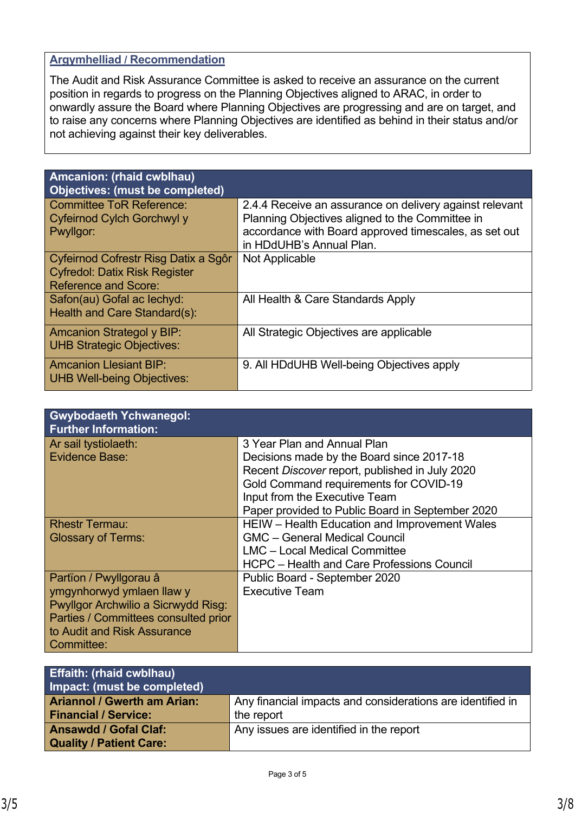### **Argymhelliad / Recommendation**

The Audit and Risk Assurance Committee is asked to receive an assurance on the current position in regards to progress on the Planning Objectives aligned to ARAC, in order to onwardly assure the Board where Planning Objectives are progressing and are on target, and to raise any concerns where Planning Objectives are identified as behind in their status and/or not achieving against their key deliverables.

| Amcanion: (rhaid cwblhau)<br><b>Objectives: (must be completed)</b>                                         |                                                                                                                                                                                                 |
|-------------------------------------------------------------------------------------------------------------|-------------------------------------------------------------------------------------------------------------------------------------------------------------------------------------------------|
| <b>Committee ToR Reference:</b><br>Cyfeirnod Cylch Gorchwyl y<br>Pwyllgor:                                  | 2.4.4 Receive an assurance on delivery against relevant<br>Planning Objectives aligned to the Committee in<br>accordance with Board approved timescales, as set out<br>in HDdUHB's Annual Plan. |
| Cyfeirnod Cofrestr Risg Datix a Sgôr<br><b>Cyfredol: Datix Risk Register</b><br><b>Reference and Score:</b> | Not Applicable                                                                                                                                                                                  |
| Safon(au) Gofal ac lechyd:<br>Health and Care Standard(s):                                                  | All Health & Care Standards Apply                                                                                                                                                               |
| <b>Amcanion Strategol y BIP:</b><br><b>UHB Strategic Objectives:</b>                                        | All Strategic Objectives are applicable                                                                                                                                                         |
| <b>Amcanion Llesiant BIP:</b><br><b>UHB Well-being Objectives:</b>                                          | 9. All HDdUHB Well-being Objectives apply                                                                                                                                                       |

| <b>Gwybodaeth Ychwanegol:</b><br><b>Further Information:</b> |                                                                              |
|--------------------------------------------------------------|------------------------------------------------------------------------------|
| Ar sail tystiolaeth:<br>Evidence Base:                       | 3 Year Plan and Annual Plan<br>Decisions made by the Board since 2017-18     |
|                                                              | Recent Discover report, published in July 2020                               |
|                                                              | Gold Command requirements for COVID-19<br>Input from the Executive Team      |
|                                                              | Paper provided to Public Board in September 2020                             |
| <b>Rhestr Termau:</b>                                        | HEIW - Health Education and Improvement Wales                                |
| <b>Glossary of Terms:</b>                                    | <b>GMC</b> - General Medical Council<br><b>LMC</b> - Local Medical Committee |
|                                                              | <b>HCPC</b> – Health and Care Professions Council                            |
| Partïon / Pwyllgorau â                                       | Public Board - September 2020                                                |
| ymgynhorwyd ymlaen llaw y                                    | <b>Executive Team</b>                                                        |
| Pwyllgor Archwilio a Sicrwydd Risg:                          |                                                                              |
| Parties / Committees consulted prior                         |                                                                              |
| to Audit and Risk Assurance<br>Committee:                    |                                                                              |

| <b>Effaith: (rhaid cwblhau)</b><br>Impact: (must be completed)    |                                                                          |
|-------------------------------------------------------------------|--------------------------------------------------------------------------|
| <b>Ariannol / Gwerth am Arian:</b><br><b>Financial / Service:</b> | Any financial impacts and considerations are identified in<br>the report |
| <b>Ansawdd / Gofal Claf:</b><br><b>Quality / Patient Care:</b>    | Any issues are identified in the report                                  |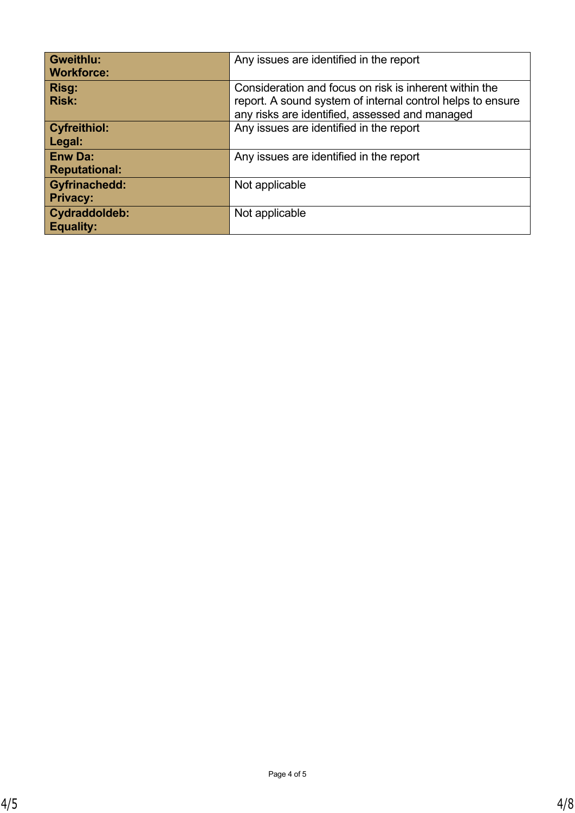| <b>Gweithlu:</b><br><b>Workforce:</b>   | Any issues are identified in the report                                                                                                                                |
|-----------------------------------------|------------------------------------------------------------------------------------------------------------------------------------------------------------------------|
| Risg:<br><b>Risk:</b>                   | Consideration and focus on risk is inherent within the<br>report. A sound system of internal control helps to ensure<br>any risks are identified, assessed and managed |
| <b>Cyfreithiol:</b><br>Legal:           | Any issues are identified in the report                                                                                                                                |
| <b>Enw Da:</b><br><b>Reputational:</b>  | Any issues are identified in the report                                                                                                                                |
| <b>Gyfrinachedd:</b><br><b>Privacy:</b> | Not applicable                                                                                                                                                         |
| Cydraddoldeb:<br><b>Equality:</b>       | Not applicable                                                                                                                                                         |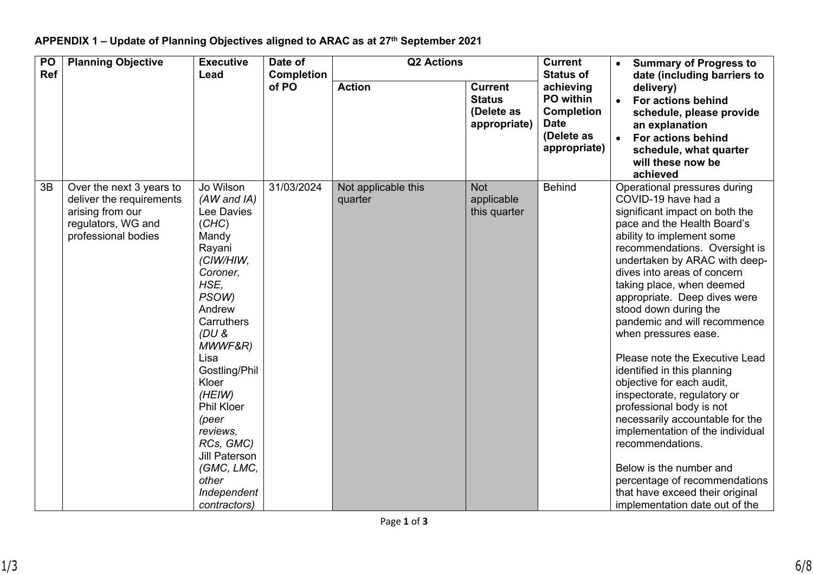# **APPENDIX 1 – Update of Planning Objectives aligned to ARAC as at 27th September 2021**

| <b>PO</b><br><b>Ref</b> | <b>Planning Objective</b>                                                                                             | <b>Executive</b><br>Date of<br>Lead                                                                                                                                                                                                                                                                                                          |            | <b>Q2 Actions</b><br><b>Completion</b> |                                                               |                                                                                                              | <b>Summary of Progress to</b><br>date (including barriers to                                                                                                                                                                                                                                                                                                                                                                                                                                                                                                                                                                                                                                                                                                                          |
|-------------------------|-----------------------------------------------------------------------------------------------------------------------|----------------------------------------------------------------------------------------------------------------------------------------------------------------------------------------------------------------------------------------------------------------------------------------------------------------------------------------------|------------|----------------------------------------|---------------------------------------------------------------|--------------------------------------------------------------------------------------------------------------|---------------------------------------------------------------------------------------------------------------------------------------------------------------------------------------------------------------------------------------------------------------------------------------------------------------------------------------------------------------------------------------------------------------------------------------------------------------------------------------------------------------------------------------------------------------------------------------------------------------------------------------------------------------------------------------------------------------------------------------------------------------------------------------|
|                         |                                                                                                                       |                                                                                                                                                                                                                                                                                                                                              | of PO      | <b>Action</b>                          | <b>Current</b><br><b>Status</b><br>(Delete as<br>appropriate) | <b>Status of</b><br>achieving<br>PO within<br><b>Completion</b><br><b>Date</b><br>(Delete as<br>appropriate) | delivery)<br>For actions behind<br>$\bullet$<br>schedule, please provide<br>an explanation<br><b>For actions behind</b><br>schedule, what quarter<br>will these now be<br>achieved                                                                                                                                                                                                                                                                                                                                                                                                                                                                                                                                                                                                    |
| 3B                      | Over the next 3 years to<br>deliver the requirements<br>arising from our<br>regulators, WG and<br>professional bodies | Jo Wilson<br>$(AW$ and $IA)$<br>Lee Davies<br>(CHC)<br>Mandy<br>Rayani<br>(CIW/HIW,<br>Coroner,<br>HSE.<br>PSOW)<br>Andrew<br>Carruthers<br>(DU&<br>MWWF&R)<br>Lisa<br>Gostling/Phil<br>Kloer<br>(HEIW)<br><b>Phil Kloer</b><br>(peer<br>reviews,<br>RCs, GMC)<br><b>Jill Paterson</b><br>(GMC, LMC,<br>other<br>Independent<br>contractors) | 31/03/2024 | Not applicable this<br>quarter         | <b>Not</b><br>applicable<br>this quarter                      | <b>Behind</b>                                                                                                | Operational pressures during<br>COVID-19 have had a<br>significant impact on both the<br>pace and the Health Board's<br>ability to implement some<br>recommendations. Oversight is<br>undertaken by ARAC with deep-<br>dives into areas of concern<br>taking place, when deemed<br>appropriate. Deep dives were<br>stood down during the<br>pandemic and will recommence<br>when pressures ease.<br>Please note the Executive Lead<br>identified in this planning<br>objective for each audit,<br>inspectorate, regulatory or<br>professional body is not<br>necessarily accountable for the<br>implementation of the individual<br>recommendations.<br>Below is the number and<br>percentage of recommendations<br>that have exceed their original<br>implementation date out of the |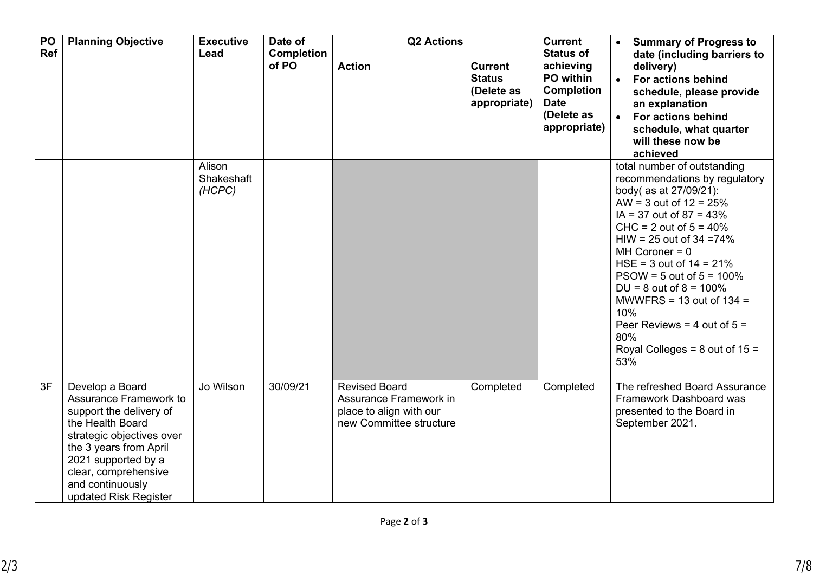| PO<br>Ref | <b>Planning Objective</b>                                                                                                                                                                                                                   | <b>Executive</b><br>Lead       | Date of<br><b>Completion</b> | <b>Q2 Actions</b>                                                                                    |                                                               | <b>Current</b><br><b>Status of</b>                                                       | <b>Summary of Progress to</b><br>$\bullet$<br>date (including barriers to<br>delivery)<br>For actions behind<br>$\bullet$<br>schedule, please provide<br>an explanation<br>For actions behind<br>$\bullet$<br>schedule, what quarter<br>will these now be<br>achieved                                                                                                                                                                                         |
|-----------|---------------------------------------------------------------------------------------------------------------------------------------------------------------------------------------------------------------------------------------------|--------------------------------|------------------------------|------------------------------------------------------------------------------------------------------|---------------------------------------------------------------|------------------------------------------------------------------------------------------|---------------------------------------------------------------------------------------------------------------------------------------------------------------------------------------------------------------------------------------------------------------------------------------------------------------------------------------------------------------------------------------------------------------------------------------------------------------|
|           |                                                                                                                                                                                                                                             |                                | of PO                        | <b>Action</b>                                                                                        | <b>Current</b><br><b>Status</b><br>(Delete as<br>appropriate) | achieving<br>PO within<br><b>Completion</b><br><b>Date</b><br>(Delete as<br>appropriate) |                                                                                                                                                                                                                                                                                                                                                                                                                                                               |
|           |                                                                                                                                                                                                                                             | Alison<br>Shakeshaft<br>(HCPC) |                              |                                                                                                      |                                                               |                                                                                          | total number of outstanding<br>recommendations by regulatory<br>body( as at 27/09/21):<br>AW = 3 out of $12 = 25%$<br>$IA = 37$ out of $87 = 43\%$<br>$CHC = 2$ out of $5 = 40\%$<br>$HIW = 25$ out of 34 = 74%<br>$MH$ Coroner = 0<br>HSE = $3$ out of $14 = 21\%$<br>$PSOW = 5$ out of $5 = 100\%$<br>$DU = 8$ out of $8 = 100\%$<br>MWWFRS = 13 out of $134 =$<br>10%<br>Peer Reviews = 4 out of $5 =$<br>80%<br>Royal Colleges = $8$ out of $15 =$<br>53% |
| 3F        | Develop a Board<br>Assurance Framework to<br>support the delivery of<br>the Health Board<br>strategic objectives over<br>the 3 years from April<br>2021 supported by a<br>clear, comprehensive<br>and continuously<br>updated Risk Register | Jo Wilson                      | 30/09/21                     | <b>Revised Board</b><br>Assurance Framework in<br>place to align with our<br>new Committee structure | Completed                                                     | Completed                                                                                | The refreshed Board Assurance<br>Framework Dashboard was<br>presented to the Board in<br>September 2021.                                                                                                                                                                                                                                                                                                                                                      |